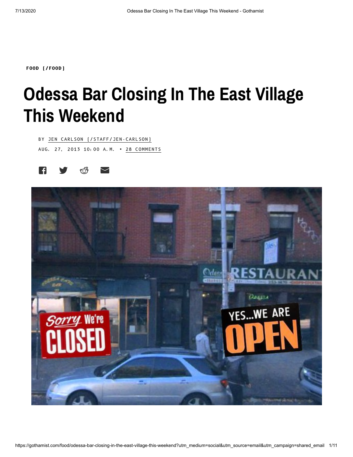**FOOD [\(/FOOD\)](https://gothamist.com/food)**

## **Odessa Bar Closing In The East Village This Weekend**

BY JEN CARLSON [\(/STAFF/JEN-CARLSON\)](https://gothamist.com/staff/jen-carlson) AUG. 27, 2013 10:00 A.M. • 28 COMMENTS